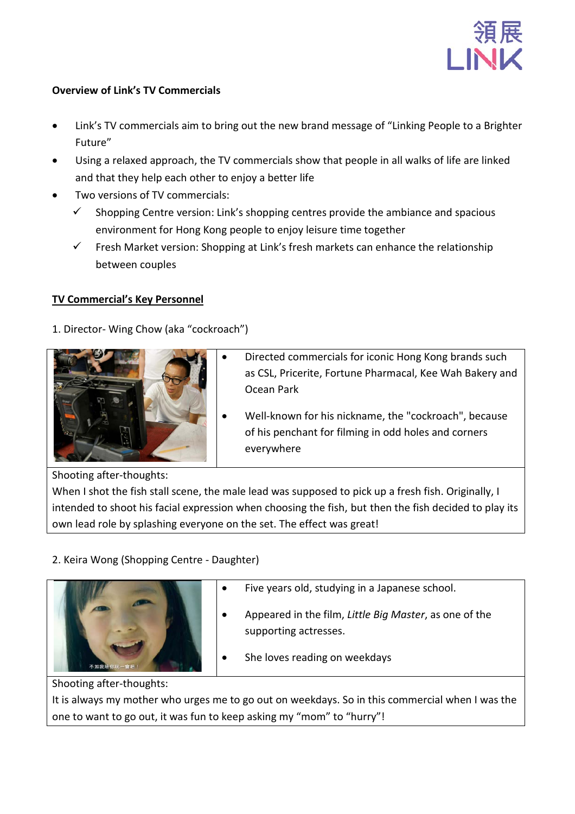

## **Overview of Link's TV Commercials**

- Link's TV commercials aim to bring out the new brand message of "Linking People to a Brighter Future"
- Using a relaxed approach, the TV commercials show that people in all walks of life are linked and that they help each other to enjoy a better life
- Two versions of TV commercials:
	- $\checkmark$  Shopping Centre version: Link's shopping centres provide the ambiance and spacious environment for Hong Kong people to enjoy leisure time together
	- $\checkmark$  Fresh Market version: Shopping at Link's fresh markets can enhance the relationship between couples

## **TV Commercial's Key Personnel**

1. Director- Wing Chow (aka "cockroach")



- Directed commercials for iconic Hong Kong brands such as CSL, Pricerite, Fortune Pharmacal, Kee Wah Bakery and Ocean Park
- Well-known for his nickname, the "cockroach", because of his penchant for filming in odd holes and corners everywhere

Shooting after-thoughts:

When I shot the fish stall scene, the male lead was supposed to pick up a fresh fish. Originally, I intended to shoot his facial expression when choosing the fish, but then the fish decided to play its own lead role by splashing everyone on the set. The effect was great!

# 2. Keira Wong (Shopping Centre - Daughter)



- Five years old, studying in a Japanese school. • Appeared in the film, *Little Big Master*, as one of the supporting actresses.
- She loves reading on weekdays

Shooting after-thoughts:

It is always my mother who urges me to go out on weekdays. So in this commercial when I was the one to want to go out, it was fun to keep asking my "mom" to "hurry"!